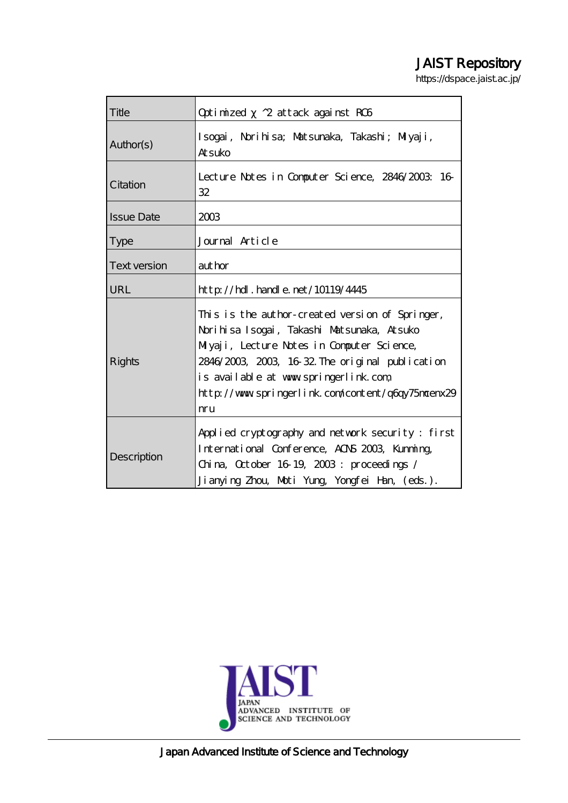# JAIST Repository

https://dspace.jaist.ac.jp/

| Title               | Optimized ^2 attack against RC6                                                                                                                                                                                                                                                                     |
|---------------------|-----------------------------------------------------------------------------------------------------------------------------------------------------------------------------------------------------------------------------------------------------------------------------------------------------|
| Author(s)           | Isogai, Norihisa; Matsunaka, Takashi; Miyaji,<br><b>Atsuko</b>                                                                                                                                                                                                                                      |
| Citation            | Lecture Notes in Computer Science, 2846/2003: 16<br>32                                                                                                                                                                                                                                              |
| <b>Issue Date</b>   | 2003                                                                                                                                                                                                                                                                                                |
| <b>Type</b>         | Journal Article                                                                                                                                                                                                                                                                                     |
| <b>Text version</b> | aut hor                                                                                                                                                                                                                                                                                             |
| URL                 | http://hdl.handle.net/10119/4445                                                                                                                                                                                                                                                                    |
| Rights              | This is the author-created version of Springer,<br>Norihisa Isogai, Takashi Matsunaka, Atsuko<br>Miyaji, Lecture Notes in Computer Science,<br>2846/2003, 2003, 16-32. The original publication<br>is available at www.springerlink.com<br>http://www.springerlink.com/content/q6qy75morenx29<br>mu |
| Description         | Applied cryptography and network security: first<br>International Conference, AOS 2003, Kunning,<br>China, October 16 19, $2003$ : proceedings /<br>Jianying Zhou, Moti Yung, Yongfei Han, (eds.).                                                                                                  |



Japan Advanced Institute of Science and Technology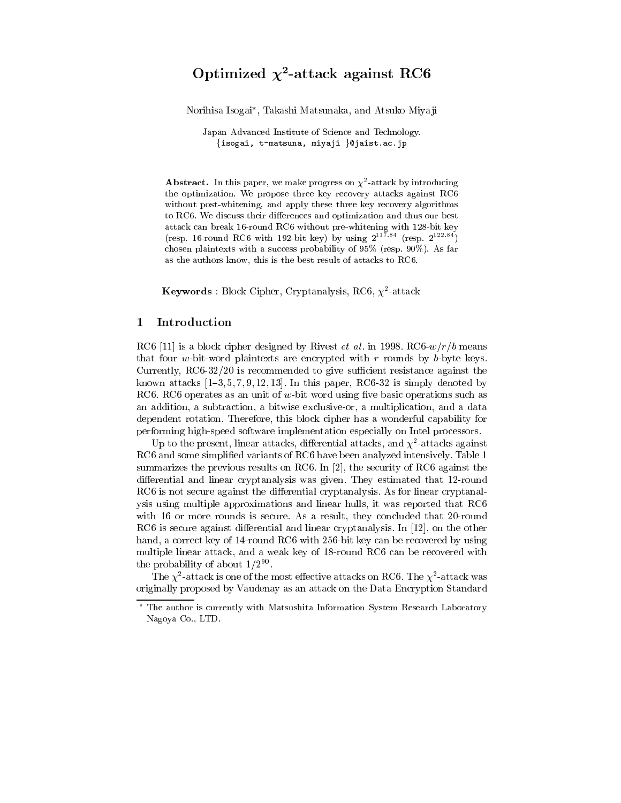## Optimized  $\chi^2$ -attack against RC6

Norihisa Isogai\*, Takashi Matsunaka, and Atsuko Miyaji

Japan Advanced Institute of Science and Technology. {isogai, t-matsuna, miyaji }@jaist.ac.jp

**Abstract.** In this paper, we make progress on  $\chi^2$ -attack by introducing the optimization. We propose three key recovery attacks against RC6 without post-whitening, and apply these three key recovery algorithms to RC6. We discuss their differences and optimization and thus our best attack can break 16-round RC6 without pre-whitening with 128-bit key (resp. 16-round RC6 with 192-bit key) by using  $2^{11\bar{7}, 84}$  (resp.  $2^{122.84}$ ) chosen plaintexts with a success probability of  $95\%$  (resp.  $90\%$ ). As far as the authors know, this is the best result of attacks to RC6.

**Keywords** : Block Cipher, Cryptanalysis, RC6,  $\chi^2$ -attack

### 1 Introduction

RC6 [11] is a block cipher designed by Rivest *et al.* in 1998. RC6- $w/r/b$  means that four w-bit-word plaintexts are encrypted with  $r$  rounds by b-byte keys. Currently,  $RC6-32/20$  is recommended to give sufficient resistance against the known attacks  $[1-3, 5, 7, 9, 12, 13]$ . In this paper, RC6-32 is simply denoted by RC6. RC6 operates as an unit of w-bit word using five basic operations such as an addition, a subtraction, a bitwise exclusive-or, a multiplication, and a data dependent rotation. Therefore, this block cipher has a wonderful capability for performing high-speed software implementation especially on Intel processors.

Up to the present, linear attacks, differential attacks, and  $\chi^2$ -attacks against RC6 and some simplified variants of RC6 have been analyzed intensively. Table 1 summarizes the previous results on RC6. In [2], the security of RC6 against the differential and linear cryptanalysis was given. They estimated that 12-round RC6 is not secure against the differential cryptanalysis. As for linear cryptanalysis using multiple approximations and linear hulls, it was reported that RC6 with 16 or more rounds is secure. As a result, they concluded that 20-round RC6 is secure against differential and linear cryptanalysis. In  $[12]$ , on the other hand, a correct key of 14-round RC6 with 256-bit key can be recovered by using multiple linear attack, and a weak key of 18-round RC6 can be recovered with the probability of about  $1/2^{90}$ .

The  $\chi^2$ -attack is one of the most effective attacks on RC6. The  $\chi^2$ -attack was originally proposed by Vaudenay as an attack on the Data Encryption Standard

The author is currently with Matsushita Information System Research Laboratory Nagoya Co., LTD.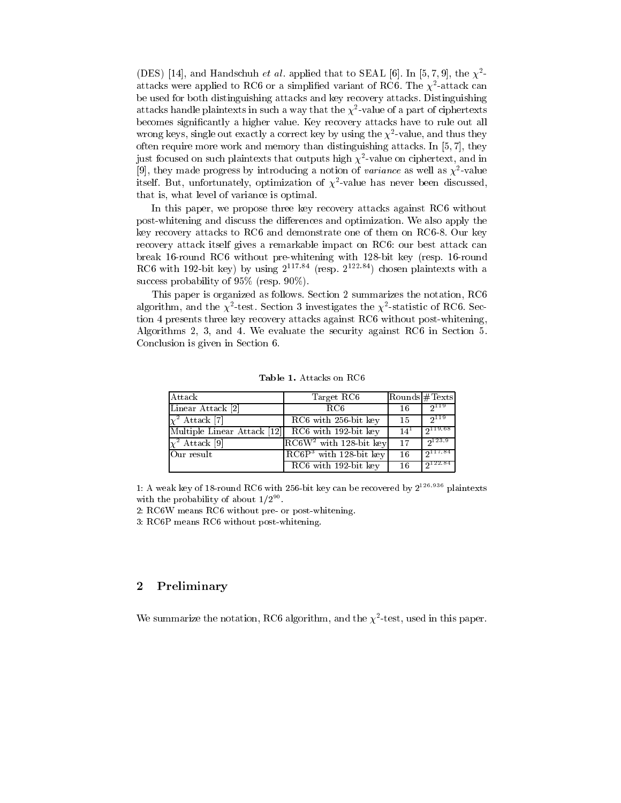(DES) [14], and Handschuh et al. applied that to SEAL [6]. In [5, 7, 9], the  $\chi^2$ attacks were applied to RC6 or a simplified variant of RC6. The  $\chi^2$ -attack can be used for both distinguishing attacks and key recovery attacks. Distinguishing attacks handle plaintexts in such a way that the  $\chi^2$ -value of a part of ciphertexts becomes significantly a higher value. Key recovery attacks have to rule out all wrong keys, single out exactly a correct key by using the  $\chi^2$ -value, and thus they often require more work and memory than distinguishing attacks. In [5, 7], they just focused on such plaintexts that outputs high  $\chi^2$ -value on ciphertext, and in [9], they made progress by introducing a notion of variance as well as  $\chi^2$ -value itself. But, unfortunately, optimization of  $\chi^2$ -value has never been discussed, that is, what level of variance is optimal

In this paper, we propose three key recovery attacks against RC6 without post-whitening and discuss the differences and optimization. We also apply the key recovery attacks to RC6 and demonstrate one of them on RC6-8. Our key recovery attack itself gives a remarkable impact on RC6: our best attack can break 16-round RC6 without pre-whitening with 128-bit key (resp. 16-round RC6 with 192-bit key) by using  $2^{117.84}$  (resp.  $2^{122.84}$ ) chosen plaintexts with a success probability of  $95\%$  (resp.  $90\%$ ).

This paper is organized as follows. Section 2 summarizes the notation, RC6 algorithm, and the  $\chi^2$ -test. Section 3 investigates the  $\chi^2$ -statistic of RC6. Section 4 presents three key recovery attacks against RC6 without post-whitening, Algorithms 2, 3, and 4. We evaluate the security against RC6 in Section 5. Conclusion is given in Section 6.

| Attack                      | Target RC6                | Rounds #Texts |             |
|-----------------------------|---------------------------|---------------|-------------|
| Linear Attack [2]           | RC <sub>6</sub>           | 16            | 2119        |
| $\chi^2$ Attack [7]         | RC6 with 256-bit key      | 15            | 2119        |
| Multiple Linear Attack [12] | $RC6$ with $192$ -bit key | $14^{1}$      | 2119.68     |
| $\chi^2$ Attack [9]         | $RC6W2$ with 128-bit key  | 17            | $2^{123.9}$ |
| Our result                  | $RC6P3$ with 128-bit key  | 16            | 2117.84     |
|                             | $RC6$ with $192$ -bit key | 16            | 2122.84     |

Table 1. Attacks on RC6

1: A weak key of 18-round RC6 with 256-bit key can be recovered by  $2^{126.936}$  plaintexts with the probability of about  $1/2^{90}$ .

2: RC6W means RC6 without pre- or post-whitening.

3: RC6P means RC6 without post-whitening.

### Preliminary  $\bf{2}$

We summarize the notation, RC6 algorithm, and the  $\chi^2$ -test, used in this paper.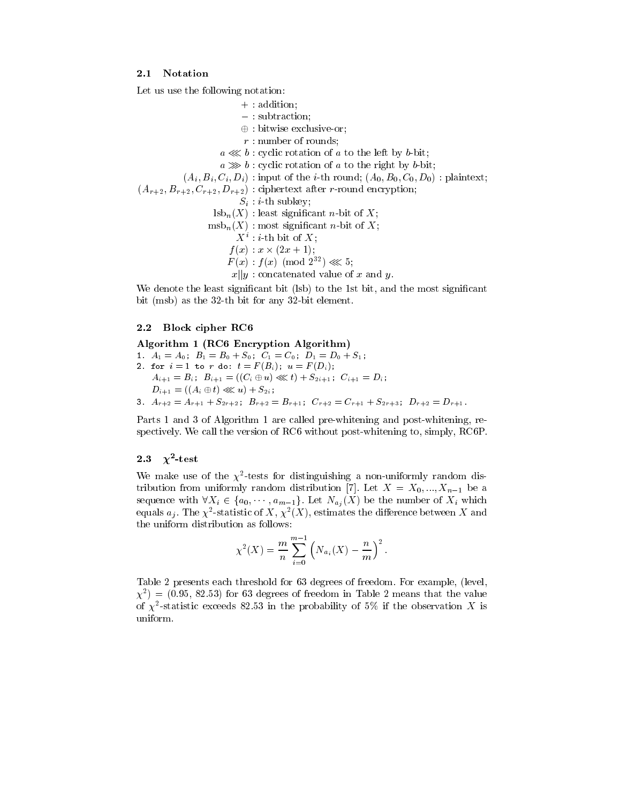### $2.1$ Notation

Let us use the following notation:

 $+ : addition;$  $-$ : subtraction;  $\oplus$ : bitwise exclusive-or;  $r:$  number of rounds;  $a \lll b$ : cyclic rotation of a to the left by b-bit;  $a \gg b$ : cyclic rotation of a to the right by b-bit;  $(A_i, B_i, C_i, D_i)$ : input of the *i*-th round;  $(A_0, B_0, C_0, D_0)$ : plaintext;  $(A_{r+2}, B_{r+2}, C_{r+2}, D_{r+2})$ : ciphertext after *r*-round encryption;  $S_i$ : *i*-th subkey;  $\text{lsb}_n(X)$ : least significant *n*-bit of X;  $msb_n(X)$ : most significant *n*-bit of X;  $X^i$ : *i*-th bit of X;  $f(x) : x \times (2x+1);$  $F(x) : f(x) \pmod{2^{32}} \ll 5;$  $x||y$ : concatenated value of x and y.

We denote the least significant bit (lsb) to the 1st bit, and the most significant bit (msb) as the 32-th bit for any 32-bit element.

### $2.2$ **Block cipher RC6**

Algorithm 1 (RC6 Encryption Algorithm) 1.  $A_1 = A_0$ ;  $B_1 = B_0 + S_0$ ;  $C_1 = C_0$ ;  $D_1 = D_0 + S_1$ ; 2. for  $i = 1$  to r do:  $t = F(B_i); u = F(D_i);$  $A_{i+1} = B_i$ ;  $B_{i+1} = ((C_i \oplus u) \lll t) + S_{2i+1}$ ;  $C_{i+1} = D_i$ ;  $D_{i+1} = ((A_i \oplus t) \ll l) + S_{2i};$ 3.  $A_{r+2} = A_{r+1} + S_{2r+2}$ ;  $B_{r+2} = B_{r+1}$ ;  $C_{r+2} = C_{r+1} + S_{2r+3}$ ;  $D_{r+2} = D_{r+1}$ .

Parts 1 and 3 of Algorithm 1 are called pre-whitening and post-whitening, respectively. We call the version of RC6 without post-whitening to, simply, RC6P.

### 2.3  $\chi^2$ -test

We make use of the  $\chi^2$ -tests for distinguishing a non-uniformly random distribution from uniformly random distribution [7]. Let  $X = X_0, ..., X_{n-1}$  be a sequence with  $\forall X_i \in \{a_0, \dots, a_{m-1}\}.$  Let  $N_{a_j}(X)$  be the number of  $X_i$  which equals  $a_j$ . The  $\chi^2$ -statistic of X,  $\chi^2(X)$ , estimates the difference between X and the uniform distribution as follows:

$$
\chi^{2}(X) = \frac{m}{n} \sum_{i=0}^{m-1} \left( N_{a_{i}}(X) - \frac{n}{m} \right)^{2}.
$$

Table 2 presents each threshold for 63 degrees of freedom. For example, (level,  $\chi^2$ ) = (0.95, 82.53) for 63 degrees of freedom in Table 2 means that the value of  $\chi^2$ -statistic exceeds 82.53 in the probability of 5% if the observation X is uniform.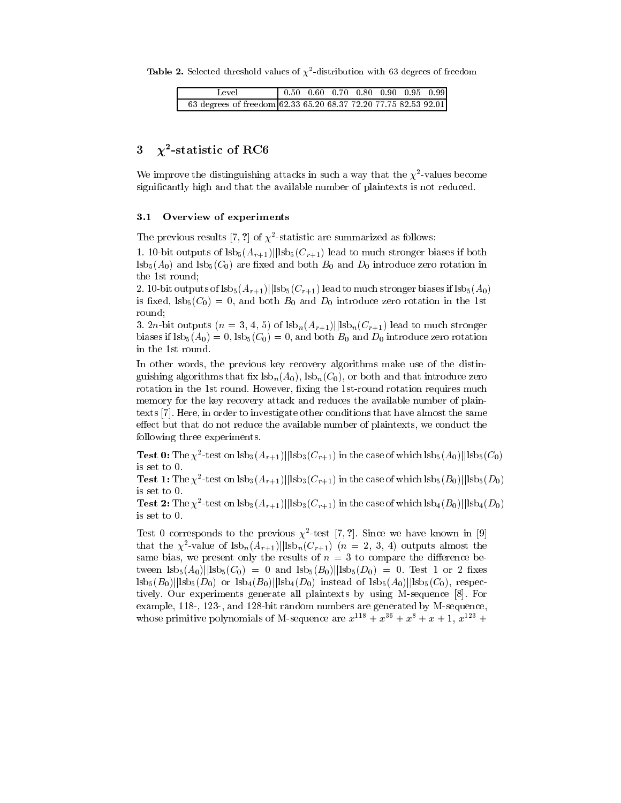**Table 2.** Selected threshold values of  $\chi^2$ -distribution with 63 degrees of freedom

| Level                                                           |  |  |  | $\begin{array}{ ccc } 0.50 & 0.60 & 0.70 & 0.80 & 0.90 & 0.95 & 0.99 \end{array}$ |
|-----------------------------------------------------------------|--|--|--|-----------------------------------------------------------------------------------|
| 63 degrees of freedom 62.33 65.20 68.37 72.20 77.75 82.53 92.01 |  |  |  |                                                                                   |

### $\chi^2$ -statistic of RC6 3

We improve the distinguishing attacks in such a way that the  $\chi^2$ -values become significantly high and that the available number of plaintexts is not reduced.

### Overview of experiments  $3.1$

The previous results [7, ?] of  $\chi^2$ -statistic are summarized as follows:

1. 10-bit outputs of  $\vert s b_5(A_{r+1}) \vert \vert s b_5(C_{r+1}) \vert s b_5(C_{r+1})$  lead to much stronger biases if both  $\text{lsb}_5(A_0)$  and  $\text{lsb}_5(C_0)$  are fixed and both  $B_0$  and  $D_0$  introduce zero rotation in the 1st round;

2. 10-bit outputs of  $\vert s b_5(A_{r+1}) \vert \vert s b_5(C_{r+1}) \vert$  lead to much stronger biases if  $\vert s b_5(A_0) \vert$ is fixed,  $lsb_5(C_0) = 0$ , and both  $B_0$  and  $D_0$  introduce zero rotation in the 1st round;

3. 2n-bit outputs  $(n = 3, 4, 5)$  of  $\frac{\text{lsb}_n(A_{r+1})}{\text{lsb}_n(C_{r+1})}$  lead to much stronger biases if  $\text{lsb}_5(A_0) = 0$ ,  $\text{lsb}_5(C_0) = 0$ , and both  $B_0$  and  $D_0$  introduce zero rotation in the 1st round.

In other words, the previous key recovery algorithms make use of the distinguishing algorithms that fix  $\text{lsb}_n(A_0)$ ,  $\text{lsb}_n(C_0)$ , or both and that introduce zero rotation in the 1st round. However, fixing the 1st-round rotation requires much memory for the key recovery attack and reduces the available number of plaintexts [7]. Here, in order to investigate other conditions that have almost the same effect but that do not reduce the available number of plaintexts, we conduct the following three experiments.

**Test 0:** The  $\chi^2$ -test on  $\text{lsb}_3(A_{r+1})$ || $\text{lsb}_3(C_{r+1})$  in the case of which  $\text{lsb}_5(A_0)$ || $\text{lsb}_5(C_0)$ is set to 0.

**Test 1:** The  $\chi^2$ -test on  $\text{lsb}_3(A_{r+1})$ || $\text{lsb}_3(C_{r+1})$  in the case of which  $\text{lsb}_5(B_0)$ || $\text{lsb}_5(D_0)$ is set to 0.

**Test 2:** The  $\chi^2$ -test on  $\text{lsb}_3(A_{r+1})$ || $\text{lsb}_3(C_{r+1})$  in the case of which  $\text{lsb}_4(B_0)$ || $\text{lsb}_4(D_0)$ is set to 0.

Test 0 corresponds to the previous  $\chi^2$ -test [7, ?]. Since we have known in [9] that the  $\chi^2$ -value of  $\frac{|sh_n(A_{r+1})|}{\text{lsb}_n(C_{r+1})}$   $(n = 2, 3, 4)$  outputs almost the same bias, we present only the results of  $n = 3$  to compare the difference between  $\frac{1}{5}(A_0)||\frac{1}{5}(C_0) = 0$  and  $\frac{1}{5}(B_0)||\frac{1}{5}(D_0) = 0$ . Test 1 or 2 fixes  $|s b_5(B_0)|| s b_5(D_0)$  or  $|s b_4(B_0)|| s b_4(D_0)$  instead of  $|s b_5(A_0)|| s b_5(C_0)$ , respectively. Our experiments generate all plaintexts by using M-sequence [8]. For example, 118-, 123-, and 128-bit random numbers are generated by M-sequence, whose primitive polynomials of M-sequence are  $x^{118} + x^{36} + x^8 + x + 1$ ,  $x^{123} +$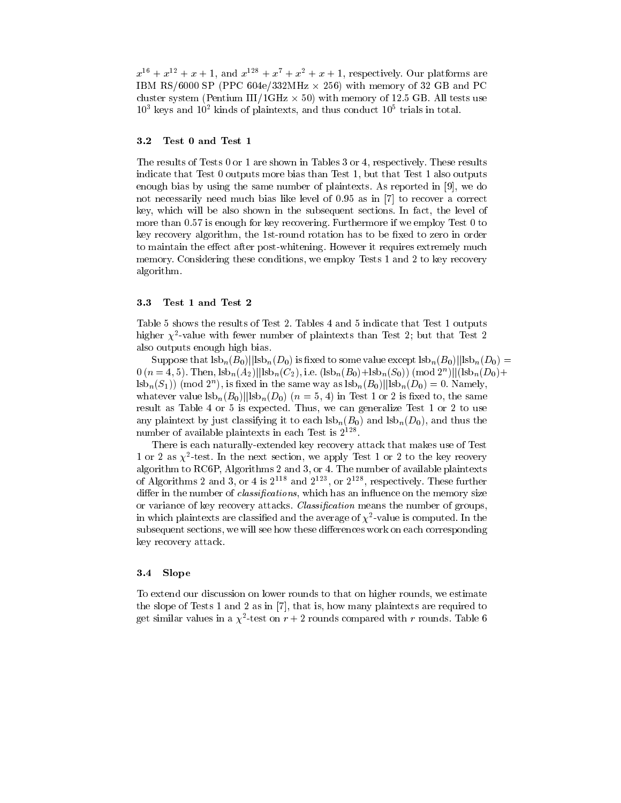$x^{16} + x^{12} + x + 1$ , and  $x^{128} + x^7 + x^2 + x + 1$ , respectively. Our platforms are IBM RS/6000 SP (PPC 604e/332MHz  $\times$  256) with memory of 32 GB and PC cluster system (Pentium III/1GHz  $\times$  50) with memory of 12.5 GB. All tests use  $10^3$  keys and  $10^2$  kinds of plaintexts, and thus conduct  $10^5$  trials in total.

#### $3.2$ Test 0 and Test 1

The results of Tests 0 or 1 are shown in Tables 3 or 4, respectively. These results indicate that Test 0 outputs more bias than Test 1, but that Test 1 also outputs enough bias by using the same number of plaintexts. As reported in [9], we do not necessarily need much bias like level of 0.95 as in [7] to recover a correct key, which will be also shown in the subsequent sections. In fact, the level of more than 0.57 is enough for key recovering. Furthermore if we employ Test 0 to key recovery algorithm, the 1st-round rotation has to be fixed to zero in order to maintain the effect after post-whitening. However it requires extremely much memory. Considering these conditions, we employ Tests 1 and 2 to key recovery algorithm.

#### 3.3 Test 1 and Test 2

Table 5 shows the results of Test 2. Tables 4 and 5 indicate that Test 1 outputs higher  $\chi^2$ -value with fewer number of plaintexts than Test 2; but that Test 2 also outputs enough high bias.

Suppose that  $|s b_n(B_0)|| |s b_n(D_0)|$  is fixed to some value except  $|s b_n(B_0)|| |s b_n(D_0)|$  $0(n=4,5)$ . Then,  $\frac{\text{lsb}_n(A_2)}{\text{lsb}_n(C_2)}$ , i.e.  $(\frac{\text{lsb}_n(B_0)+\text{lsb}_n(S_0)}{\text{lsb}_n(S_0)}$  (mod  $2^n||(\frac{\text{lsb}_n(D_0)+\text{lsb}_n(S_0)}{\text{lsb}_n(C_0)}$ )  $\text{lsb}_n(S_1)$  (mod  $2^n$ ), is fixed in the same way as  $\text{lsb}_n(B_0)||\text{lsb}_n(D_0) = 0$ . Namely, whatever value  $|sb_n(B_0)||sb_n(D_0)$   $(n=5, 4)$  in Test 1 or 2 is fixed to, the same result as Table 4 or 5 is expected. Thus, we can generalize Test 1 or 2 to use any plaintext by just classifying it to each  $\text{lsb}_n(B_0)$  and  $\text{lsb}_n(D_0)$ , and thus the number of available plaintexts in each Test is  $2^{128}$ .

There is each naturally-extended key recovery attack that makes use of Test 1 or 2 as  $\chi^2$ -test. In the next section, we apply Test 1 or 2 to the key reovery algorithm to RC6P, Algorithms 2 and 3, or 4. The number of available plaintexts of Algorithms 2 and 3, or 4 is  $2^{118}$  and  $2^{123}$ , or  $2^{128}$ , respectively. These further differ in the number of *classifications*, which has an influence on the memory size or variance of key recovery attacks. *Classification* means the number of groups. in which plaintexts are classified and the average of  $\chi^2$ -value is computed. In the subsequent sections, we will see how these differences work on each corresponding key recovery attack.

#### 3.4 Slope

To extend our discussion on lower rounds to that on higher rounds, we estimate the slope of Tests 1 and 2 as in [7], that is, how many plaintexts are required to get similar values in a  $\chi^2$ -test on  $r+2$  rounds compared with r rounds. Table 6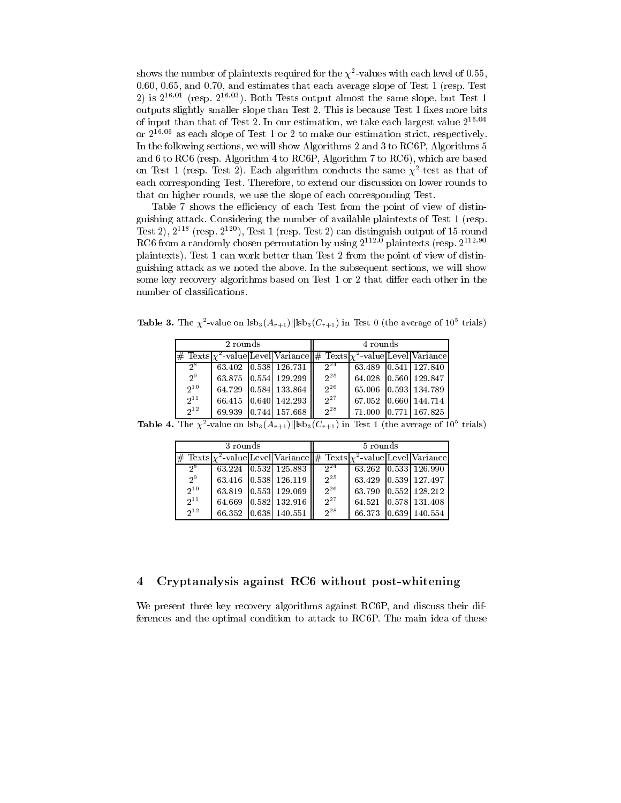shows the number of plaintexts required for the  $\chi^2$ -values with each level of 0.55 0.60, 0.65, and 0.70, and estimates that each average slope of Test 1 (resp. Test 2) is  $2^{16.01}$  (resp.  $2^{16.03}$ ). Both Tests output almost the same slope, but Test 1 outputs slightly smaller slope than Test 2. This is because Test 1 fixes more bits of input than that of Test 2. In our estimation, we take each largest value  $2^{16.04}$ or  $2^{16.06}$  as each slope of Test 1 or 2 to make our estimation strict, respectively. In the following sections, we will show Algorithms 2 and 3 to RC6P, Algorithms 5 and 6 to RC6 (resp. Algorithm 4 to RC6P, Algorithm 7 to RC6), which are based on Test 1 (resp. Test 2). Each algorithm conducts the same  $\chi^2$ -test as that of each corresponding Test. Therefore, to extend our discussion on lower rounds to that on higher rounds, we use the slope of each corresponding Test.

Table 7 shows the efficiency of each Test from the point of view of distinguishing attack. Considering the number of available plaintexts of Test 1 (resp. Test 2),  $2^{118}$  (resp.  $2^{120}$ ), Test 1 (resp. Test 2) can distinguish output of 15-round RC6 from a randomly chosen permutation by using  $2^{112.0}$  plaintexts (resp.  $2^{112.90}$ ) plaintexts). Test 1 can work better than Test 2 from the point of view of distinguishing attack as we noted the above. In the subsequent sections, we will show some key recovery algorithms based on Test 1 or 2 that differ each other in the number of classifications.

**Table 3.** The  $\chi^2$ -value on  $\text{lsb}_3(A_{r+1})$ ||lsb<sub>3</sub>( $C_{r+1}$ ) in Test 0 (the average of 10<sup>5</sup> trials)

|                 | 2 rounds |                                                                               | 4 rounds |                      |  |                      |  |  |
|-----------------|----------|-------------------------------------------------------------------------------|----------|----------------------|--|----------------------|--|--|
|                 |          | # Texts $\chi^2$ -value Level Variance # Texts $\chi^2$ -value Level Variance |          |                      |  |                      |  |  |
| $2^8$           |          | 63.402 0.538 126.731                                                          | $2^{24}$ |                      |  | 63.489 0.541 127.840 |  |  |
| $2^9$           |          | 63.875 0.554 129.299                                                          | $2^{25}$ | 64.028 0.560 129.847 |  |                      |  |  |
| $2^{10}$        |          | 64.729 0.584 133.864                                                          | $2^{26}$ |                      |  | 65.006 0.593 134.789 |  |  |
| $2^{11}$        |          | 66.415 0.640 142.293                                                          | $2^{27}$ | 67.052 0.660 144.714 |  |                      |  |  |
| 2 <sub>12</sub> |          | 69.939 0.744 157.668                                                          | $2^{28}$ |                      |  | 71.000 0.771 167.825 |  |  |

**Table 4.** The  $\chi^2$ -value on  $\frac{1}{s}$   $\frac{1}{s}$   $\frac{1}{s}$   $\frac{1}{s}$   $\frac{1}{s}$   $\frac{1}{s}$   $\frac{1}{s}$   $\frac{1}{s}$  **Test 1** (the average of 10<sup>5</sup> trials)

|          | 3 rounds |                        | 5 rounds |  |  |                                                                                     |  |  |
|----------|----------|------------------------|----------|--|--|-------------------------------------------------------------------------------------|--|--|
|          |          |                        |          |  |  | $\#$ Texts $\chi^2$ -value Level Variance $\#$ Texts $\chi^2$ -value Level Variance |  |  |
| $2^8$    |          | $63.224$ 0.532 125.883 | $2^{24}$ |  |  | $63.262$ $ 0.533 $ $126.\overline{990}$                                             |  |  |
| $2^9$    |          | 63.416 0.538 126.119   | $2^{25}$ |  |  | 63.429 0.539 127.497                                                                |  |  |
| $2^{10}$ |          | 63.819 0.553 129.069   | $2^{26}$ |  |  | 63.790 0.552 128.212                                                                |  |  |
| $2^{11}$ |          | 64.669 0.582 132.916   | $2^{27}$ |  |  | 64.521 0.578 131.408                                                                |  |  |
| $2^{12}$ |          | 66.352 0.638 140.551   | $2^{28}$ |  |  | 66.373 0.639 140.554                                                                |  |  |

### Cryptanalysis against RC6 without post-whitening  $\overline{4}$

We present three key recovery algorithms against RC6P, and discuss their differences and the optimal condition to attack to RC6P. The main idea of these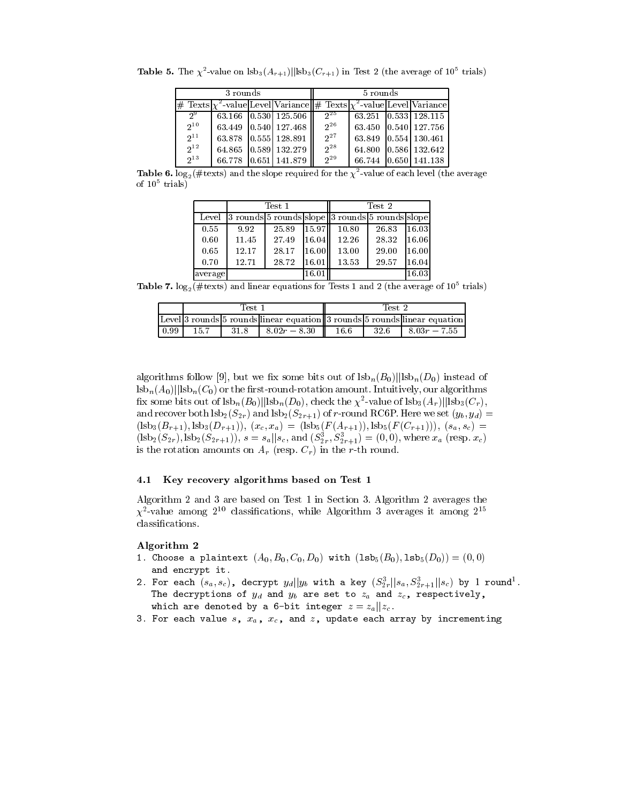|          | 3 rounds |                                                                               | 5 rounds |                      |  |                      |  |  |
|----------|----------|-------------------------------------------------------------------------------|----------|----------------------|--|----------------------|--|--|
|          |          | # Texts $\chi^2$ -value Level Variance # Texts $\chi^2$ -value Level Variance |          |                      |  |                      |  |  |
| $2^9$    |          | 63.166 0.530 125.506                                                          | $2^{25}$ | 63.251 0.533 128.115 |  |                      |  |  |
| $2^{10}$ |          | 63.449 0.540 127.468                                                          | $2^{26}$ | 63.450 0.540 127.756 |  |                      |  |  |
| $2^{11}$ |          | 63.878 0.555 128.891                                                          | $2^{27}$ | 63.849 0.554 130.461 |  |                      |  |  |
| $2^{12}$ |          | 64.865 0.589 132.279                                                          | $2^{28}$ |                      |  | 64.800 0.586 132.642 |  |  |
| $2^{13}$ |          | 66.778 0.651 141.879                                                          | $2^{29}$ |                      |  | 66.744 0.650 141.138 |  |  |

**Table 5.** The  $\chi^2$ -value on  $\text{lsb}_3(A_{r+1})$ || $\text{lsb}_3(C_{r+1})$  in Test 2 (the average of 10<sup>5</sup> trials)

**Table 6.**  $\log_2(\# \text{texts})$  and the slope required for the  $\chi^2$ -value of each level (the average of  $10^5$  trials)

|         |       | Test 1 |           | Test 2                                          |       |       |  |  |
|---------|-------|--------|-----------|-------------------------------------------------|-------|-------|--|--|
| Level   |       |        |           | 3 rounds 5 rounds slope 3 rounds 5 rounds slope |       |       |  |  |
| 0.55    | 9.92  | 25.89  | 115.97 ll | 10.80                                           | 26.83 | 16.03 |  |  |
| 0.60    | 11.45 | 27.49  | 16.04     | 12.26                                           | 28.32 | 16.06 |  |  |
| 0.65    | 12.17 | 28.17  | 16.00     | 13.00                                           | 29.00 | 16.00 |  |  |
| 0.70    | 12.71 | 28.72  | 16.01     | 13.53                                           | 29.57 | 16.04 |  |  |
| average |       |        | 16.01     |                                                 |       | 16.03 |  |  |

Table 7.  $log_2(\#text{text})$  and linear equations for Tests 1 and 2 (the average of 10<sup>5</sup> trials)

|       | Test :                                                                    |      |  |                |  | Test 2 |      |  |                |
|-------|---------------------------------------------------------------------------|------|--|----------------|--|--------|------|--|----------------|
|       | Level 3 rounds 5 rounds linear equation 3 rounds 5 rounds linear equation |      |  |                |  |        |      |  |                |
| 10.99 | 15.7                                                                      | 31.8 |  | $8.02r - 8.30$ |  | -16.6  | 32.6 |  | $8.03r - 7.55$ |

algorithms follow [9], but we fix some bits out of  $|s b_n(B_0)|| s b_n(D_0)$  instead of  $\frac{1}{2}$  lsb<sub>n</sub> $(A_0)$ ||lsb<sub>n</sub> $(C_0)$  or the first-round-rotation amount. Intuitively, our algorithms fix some bits out of  $|sb_n(B_0)||sb_n(D_0)$ , check the  $\chi^2$ -value of  $|sb_3(A_r)||sb_3(C_r)$ , and recover both  $\text{lsb}_2(S_{2r})$  and  $\text{lsb}_2(S_{2r+1})$  of r-round RC6P. Here we set  $(y_b, y_d)$  $(\text{lsb}_3(B_{r+1}), \text{lsb}_3(D_{r+1})), (x_c, x_a) = (\text{lsb}_5(F(A_{r+1})), \text{lsb}_5(F(C_{r+1}))), (s_a, s_c)$  $(\text{lsb}_2(S_{2r}), \text{lsb}_2(S_{2r+1})), s = s_a || s_c$ , and  $(S_{2r}^3, S_{2r+1}^3) = (0,0)$ , where  $x_a$  (resp.  $x_c$ ) is the rotation amounts on  $A_r$  (resp.  $C_r$ ) in the r-th round.

### Key recovery algorithms based on Test 1  $4.1$

Algorithm 2 and 3 are based on Test 1 in Section 3. Algorithm 2 averages the  $\chi^2$ -value among 2<sup>10</sup> classifications, while Algorithm 3 averages it among 2<sup>15</sup> classifications.

### Algorithm 2

- 1. Choose a plaintext  $(A_0, B_0, C_0, D_0)$  with  $(1sb_5(B_0), 1sb_5(D_0)) = (0,0)$ and encrypt it.
- 2. For each  $(s_a, s_c)$ , decrypt  $y_d || y_b$  with a key  $(S_{2r}^3 || s_a, S_{2r+1}^3 || s_c)$  by 1 round<sup>1</sup>. The decryptions of  $y_d$  and  $y_b$  are set to  $z_a$  and  $z_c$ , respectively, which are denoted by a 6-bit integer  $z = z_a || z_c$ .
- 3. For each value  $s$ ,  $x_a$ ,  $x_c$ , and  $z$ , update each array by incrementing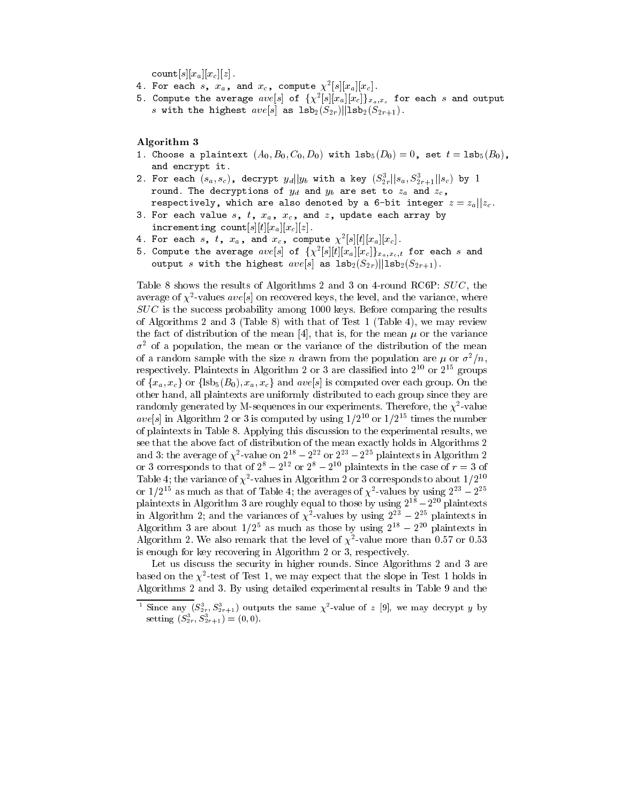count $[s][x_a][x_c][z]$ .

- 4. For each s,  $x_a$ , and  $x_c$ , compute  $\chi^2[s][x_a][x_c]$ .
- 5. Compute the average  $ave[s]$  of  $\{\chi^2[s][x_a][x_c]\}_{x_a,x_c}$  for each s and output s with the highest  $ave[s]$  as  $1sb_2(S_{2r})||1sb_2(S_{2r+1})$ .

Algorithm 3

- 1. Choose a plaintext  $(A_0, B_0, C_0, D_0)$  with  $1s b_5(D_0) = 0$ , set  $t = 1s b_5(B_0)$ , and encrypt it.
- 2. For each  $(s_a, s_c)$ , decrypt  $y_d||y_b$  with a key  $(S_{2r}^3||s_a, S_{2r+1}^3||s_c)$  by 1 round. The decryptions of  $y_d$  and  $y_b$  are set to  $z_a$  and  $z_c$ , respectively, which are also denoted by a 6-bit integer  $z = z_a || z_c$ .
- 3. For each value  $s$ ,  $t$ ,  $x_a$ ,  $x_c$ , and  $z$ , update each array by incrementing count  $[s][t][x_a][x_c][z]$ .
- 
- 4. For each s, t,  $x_a$ , and  $x_c$ , compute  $\chi^2[s][t][x_a][x_c]$ .<br>5. Compute the average  $ave[s]$  of  $\{\chi^2[s][t][x_a][x_c]\}_{x_a,x_c,t}$  for each s and output s with the highest  $ave[s]$  as  $1\texttt{sb}_{2}(S_{2r})||1\texttt{sb}_{2}(S_{2r+1})$ .

Table 8 shows the results of Algorithms 2 and 3 on 4-round RC6P:  $SUC$ , the average of  $\chi^2$ -values aves on recovered keys, the level, and the variance, where  $SUC$  is the success probability among 1000 keys. Before comparing the results of Algorithms 2 and 3 (Table 8) with that of Test 1 (Table 4), we may review the fact of distribution of the mean [4], that is, for the mean  $\mu$  or the variance  $\sigma^2$  of a population, the mean or the variance of the distribution of the mean of a random sample with the size *n* drawn from the population are  $\mu$  or  $\sigma^2/n$ , respectively. Plaintexts in Algorithm 2 or 3 are classified into  $2^{10}$  or  $2^{15}$  groups of  $\{x_a, x_c\}$  or  $\{\text{lsb}_5(B_0), x_a, x_c\}$  and  $ave[s]$  is computed over each group. On the other hand, all plaintexts are uniformly distributed to each group since they are randomly generated by M-sequences in our experiments. Therefore, the  $\chi^2$ -value ave<sup>[s]</sup> in Algorithm 2 or 3 is computed by using  $1/2^{10}$  or  $1/2^{15}$  times the number of plaintexts in Table 8. Applying this discussion to the experimental results, we see that the above fact of distribution of the mean exactly holds in Algorithms 2 and 3: the average of  $\chi^2$ -value on  $2^{18} - 2^{22}$  or  $2^{23} - 2^{25}$  plaintexts in Algorithm 2<br>or 3 corresponds to that of  $2^8 - 2^{12}$  or  $2^8 - 2^{10}$  plaintexts in the case of  $r = 3$  of Table 4; the variance of  $\chi^2$ -values in Algorithm 2 or 3 corresponds to about  $1/2^{10}$ or  $1/2^{15}$  as much as that of Table 4; the averages of  $\chi^2$ -values by using  $2^{23} - 2^{25}$ plaintexts in Algorithm 3 are roughly equal to those by using  $2^{18} - 2^{20}$  plaintexts in Algorithm 2; and the variances of  $\chi^2$ -values by using  $2^{23} - 2^{25}$  plaintexts in Algorithm 3 are about  $1/2^5$  as much as those by using  $2^{18} - 2^{20}$  plaintexts in Algorithm 2. We also remark that the level of  $\chi^2$ -value more than 0.57 or 0.53 is enough for key recovering in Algorithm 2 or 3, respectively.

Let us discuss the security in higher rounds. Since Algorithms 2 and 3 are based on the  $\chi^2$ -test of Test 1, we may expect that the slope in Test 1 holds in Algorithms 2 and 3. By using detailed experimental results in Table 9 and the

Since any  $(S_{2r}^3, S_{2r+1}^3)$  outputs the same  $\chi^2$ -value of z [9], we may decrypt y by setting  $(S_{2r}^3, S_{2r+1}^3) = (0, 0)$ .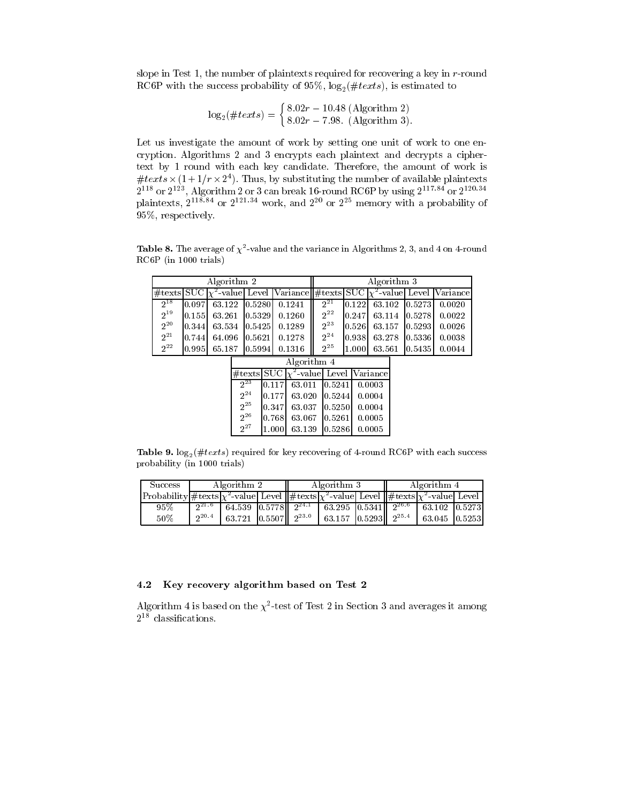slope in Test 1, the number of plaintexts required for recovering a key in  $r$ -round RC6P with the success probability of 95%,  $\log_2(\#text)$ , is estimated to

$$
\log_2(\#text) = \begin{cases} 8.02r - 10.48 \text{ (Algorithm 2)}\\ 8.02r - 7.98. \text{ (Algorithm 3)}. \end{cases}
$$

Let us investigate the amount of work by setting one unit of work to one encryption. Algorithms 2 and 3 encrypts each plaintext and decrypts a ciphertext by 1 round with each key candidate. Therefore, the amount of work is #texts  $\times$  (1+1/r  $\times$  2<sup>4</sup>). Thus, by substituting the number of available plaintexts  $2^{118}$  or  $2^{123}$ , Algorithm 2 or 3 can break 16-round RC6P by using  $2^{117.84}$  or  $2^{120.34}$  plaintexts,  $2^{118.84}$  or  $2^{121.34}$  work, and  $2^{20}$  or  $2^{25}$  memory with a probability of 95%, respectively.

**Table 8.** The average of  $\chi^2$ -value and the variance in Algorithms 2, 3, and 4 on 4-round RC6P (in 1000 trials)

|          | Algorithm 2                                                      |                                                                                             | Algorithm 3        |         |                                                                  |  |                      |  |
|----------|------------------------------------------------------------------|---------------------------------------------------------------------------------------------|--------------------|---------|------------------------------------------------------------------|--|----------------------|--|
|          |                                                                  | $\#$ texts SUC $\chi^2$ -value Level Variance $\#$ texts SUC $\chi^2$ -value Level Variance |                    |         |                                                                  |  |                      |  |
| $2^{18}$ | $\begin{bmatrix} 0.097 & 63.122 & 0.5280 & 0.1241 \end{bmatrix}$ |                                                                                             | $\frac{1}{2^{21}}$ |         | $\begin{bmatrix} 0.122 & 63.102 & 0.5273 & 0.0020 \end{bmatrix}$ |  |                      |  |
| $2^{19}$ | $\vert 0.155 \vert$ 63.261 $\vert 0.5329 \vert$ 0.1260           |                                                                                             | $2^{22}$           |         | $\begin{bmatrix} 0.247 & 63.114 & 0.5278 & 0.0022 \end{bmatrix}$ |  |                      |  |
| $2^{20}$ | $\vert 0.344 \vert 63.534 \vert 0.5425 \vert 0.1289 \vert$       |                                                                                             | $2^{23}$           |         | $\vert 0.526 \vert 63.157 \vert 0.5293 \vert 0.0026$             |  |                      |  |
| $2^{21}$ | $\begin{bmatrix} 0.744 & 64.096 & 0.5621 & 0.1278 \end{bmatrix}$ |                                                                                             | $2^{24}$           |         | $\vert 0.938 \vert 63.278 \vert 0.5336 \vert 0.0038$             |  |                      |  |
| $2^{22}$ | $\big 0.995\big $ 65.187 $\big 0.5994\big $ 0.1316               |                                                                                             | $2^{25}$           | 11.0001 |                                                                  |  | 63.561 0.5435 0.0044 |  |

|          |       | Algorithm 4                    |         |                                               |
|----------|-------|--------------------------------|---------|-----------------------------------------------|
|          |       |                                |         | #texts SUC   $\chi^2$ -value  Level  Variance |
| $2^{23}$ |       | 10.1171 63.011 10.52411 0.0003 |         |                                               |
| $2^{24}$ | 0.177 | 63.020                         | 0.5244  | 0.0004                                        |
| $2^{25}$ | 0.347 | 63.037                         | 0.5250  | 0.0004                                        |
| $2^{26}$ | 0.768 | 63.067                         | 0.5261  | 0.0005                                        |
| $2^{27}$ | 1.000 | 63.139                         | 10.5286 | 0.0005                                        |

Table 9.  $\log_2(\#text)$  required for key recovering of 4-round RC6P with each success probability (in 1000 trials)

| Success                                                                                                                                        | Algorithm 2 |                                                                            |  | Algorithm 3                | Algorithm 4 |               |  |
|------------------------------------------------------------------------------------------------------------------------------------------------|-------------|----------------------------------------------------------------------------|--|----------------------------|-------------|---------------|--|
| $\vert$ Probability $\vert \#$ texts $\chi^2$ -value Level $\vert \vert \#$ texts $\chi^2$ -value Level $\vert \#$ texts $\chi^2$ -value Level |             |                                                                            |  |                            |             |               |  |
| $95\%$                                                                                                                                         |             | $2^{21.6}$ 64.539 0.5778 $2^{24.1}$ 63.295 0.5341 $2^{26.6}$ 63.102 0.5273 |  |                            |             |               |  |
| 50%                                                                                                                                            | $2^{20.4}$  | 63.721 $\vert 0.5507 \vert \vert 2^{23.0}$                                 |  | $63.157$ 0.5293 $2^{25.4}$ |             | 63.045 0.5253 |  |

### 4.2 Key recovery algorithm based on Test 2

Algorithm 4 is based on the  $\chi^2$ -test of Test 2 in Section 3 and averages it among  $2^{18}$  classifications.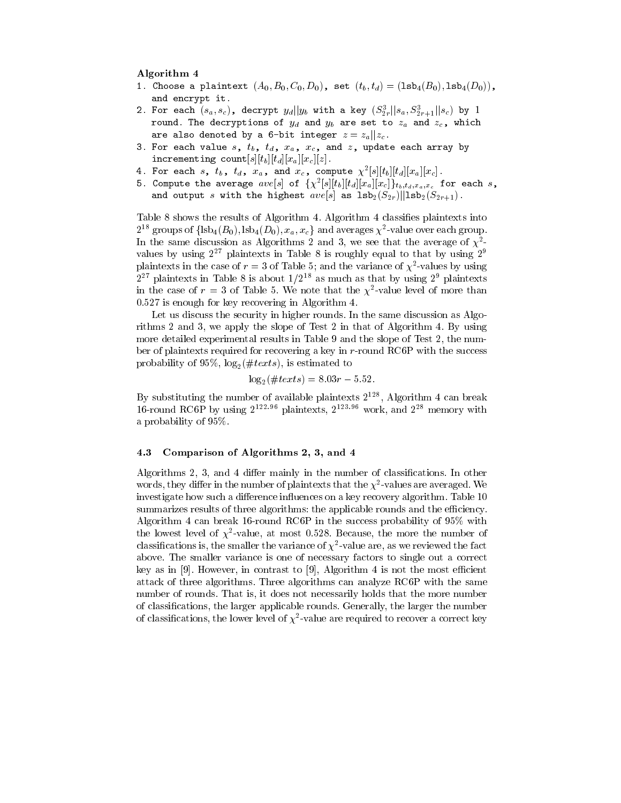### Algorithm 4

- 1. Choose a plaintext  $(A_0, B_0, C_0, D_0)$ , set  $(t_b, t_d) = (1sb_4(B_0), 1sb_4(D_0))$ , and encrypt it.
- 2. For each  $(s_a, s_c)$ , decrypt  $y_d||y_b$  with a key  $(S_{2r}^3||s_a, S_{2r+1}^3||s_c)$  by 1 round. The decryptions of  $y_d$  and  $y_b$  are set to  $z_a$  and  $z_c$ , which are also denoted by a 6-bit integer  $z = z_a || z_c$ .
- 3. For each value  $s$ ,  $t_b$ ,  $t_d$ ,  $x_a$ ,  $x_c$ , and  $z$ , update each array by incrementing count  $[s][t_b][t_d][x_a][x_c][z]$ .
- 4. For each s,  $t_b$ ,  $t_d$ ,  $x_a$ , and  $x_c$ , compute  $\chi^2[s][t_b][t_d][x_a][x_c]$ .
- 5. Compute the average  $ave[s]$  of  $\{\chi^2[s][t_b][t_d][x_a][x_c]\}_{t_b,t_d,x_a,x_c}$  for each s, and output  $s$  with the highest  $ave[s]$  as  $1\mathsf{sb}_2(S_{2r})||1\mathsf{sb}_2(S_{2r+1})$ .

Table 8 shows the results of Algorithm 4. Algorithm 4 classifies plaintexts into  $2^{18}$  groups of  $\{\text{lsb}_4(B_0), \text{lsb}_4(D_0), x_a, x_c\}$  and averages  $\chi^2$ -value over each group. In the same discussion as Algorithms 2 and 3, we see that the average of  $\chi^2$ values by using  $2^{27}$  plaintexts in Table 8 is roughly equal to that by using  $2^9$ plaintexts in the case of  $r = 3$  of Table 5; and the variance of  $\chi^2$ -values by using  $2^{27}$  plaintexts in Table 8 is about  $1/2^{18}$  as much as that by using  $2^9$  plaintexts in the case of  $r = 3$  of Table 5. We note that the  $\chi^2$ -value level of more than 0.527 is enough for key recovering in Algorithm 4.

Let us discuss the security in higher rounds. In the same discussion as Algorithms 2 and 3, we apply the slope of Test 2 in that of Algorithm 4. By using more detailed experimental results in Table 9 and the slope of Test 2, the number of plaintexts required for recovering a key in r-round RC6P with the success probability of 95%,  $log_2(\#text)$ , is estimated to

$$
\log_2(\#text) = 8.03r - 5.52.
$$

By substituting the number of available plaintexts  $2^{128}$ , Algorithm 4 can break 16-round RC6P by using  $2^{122.96}$  plaintexts,  $2^{123.96}$  work, and  $2^{28}$  memory with a probability of  $95\%$ .

### Comparison of Algorithms 2, 3, and 4 4.3

Algorithms 2, 3, and 4 differ mainly in the number of classifications. In other words, they differ in the number of plaintexts that the  $\chi^2$ -values are averaged. We investigate how such a difference influences on a key recovery algorithm. Table 10 summarizes results of three algorithms: the applicable rounds and the efficiency. Algorithm 4 can break 16-round RC6P in the success probability of  $95\%$  with the lowest level of  $\chi^2$ -value, at most 0.528. Because, the more the number of classifications is, the smaller the variance of  $\chi^2$ -value are, as we reviewed the fact above. The smaller variance is one of necessary factors to single out a correct key as in [9]. However, in contrast to [9], Algorithm 4 is not the most efficient attack of three algorithms. Three algorithms can analyze RC6P with the same number of rounds. That is, it does not necessarily holds that the more number of classifications, the larger applicable rounds. Generally, the larger the number of classifications, the lower level of  $\chi^2$ -value are required to recover a correct key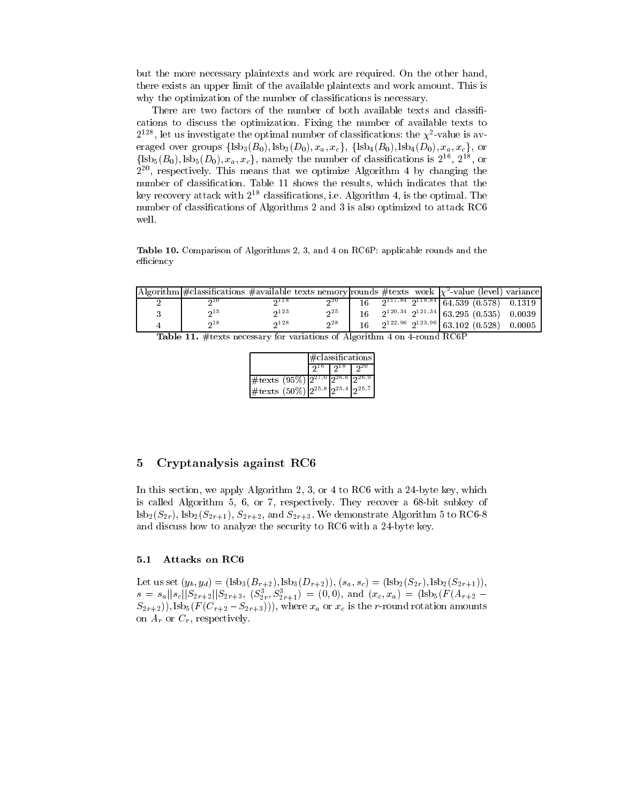but the more necessary plaintexts and work are required. On the other hand, there exists an upper limit of the available plaintexts and work amount. This is why the optimization of the number of classifications is necessary.

There are two factors of the number of both available texts and classifications to discuss the optimization. Fixing the number of available texts to  $2^{128}$ , let us investigate the optimal number of classifications: the  $\chi^2$ -value is averaged over groups  $\{\text{lsb}_3(B_0), \text{lsb}_3(D_0), x_a, x_c\}, \{\text{lsb}_4(B_0), \text{lsb}_4(D_0), x_a, x_c\}, \text{ or }$  $\{\mathrm{lsb}_5(B_0), \mathrm{lsb}_5(D_0), x_a, x_c\}$ , namely the number of classifications is  $2^{16}$ ,  $2^{18}$ , or  $2^{20}$ , respectively. This means that we optimize Algorithm 4 by changing the number of classification. Table 11 shows the results, which indicates that the key recovery attack with  $2^{18}$  classifications, i.e. Algorithm 4, is the optimal. The number of classifications of Algorithms 2 and 3 is also optimized to attack RC6 well.

Table 10. Comparison of Algorithms 2, 3, and 4 on RC6P: applicable rounds and the efficiency

| Algorithm $\#$ classifications $\#$ available texts nemory rounds $\#$ texts work $\chi^2$ -value (level) variance |        |                |  |                                                 |  |
|--------------------------------------------------------------------------------------------------------------------|--------|----------------|--|-------------------------------------------------|--|
| ດ 1 ປ                                                                                                              | ດ 11 ö | $2^{20}$       |  | $2^{117.84}$ $2^{118.84}$ 64.539 (0.578) 0.1319 |  |
| 0.15                                                                                                               | 23     | 2 <sub>5</sub> |  | $2^{120.34}$ $2^{121.34}$ 63.295 (0.535) 0.0039 |  |
| ი18                                                                                                                | 28     | 28             |  | $2^{122.96}$ $2^{123.96}$ 63.102 (0.528) 0.0005 |  |

|  |  |  | <b>Table 11.</b> #texts necessary for variations of Algorithm 4 on 4-round RC6P |  |  |  |
|--|--|--|---------------------------------------------------------------------------------|--|--|--|
|  |  |  |                                                                                 |  |  |  |

|                                                                                            | $\#$ classifications |                       |      |  |  |
|--------------------------------------------------------------------------------------------|----------------------|-----------------------|------|--|--|
|                                                                                            |                      | $2^{16}$   $2^{18}$ T | ົງ20 |  |  |
| $\frac{1}{2}$ texts (95 $\%$ ) $\frac{2^{27.0} \times 2^{26.6} \times 2^{26.9}}{2^{26.9}}$ |                      |                       |      |  |  |
| $\# \text{texts} (50\%)  2^{25.8} 2^{25.4} 2^{25.7}$                                       |                      |                       |      |  |  |

### 5 Cryptanalysis against RC6

In this section, we apply Algorithm 2, 3, or 4 to RC6 with a 24-byte key, which is called Algorithm 5, 6, or 7, respectively. They recover a 68-bit subkey of  $\text{lsb}_2(S_{2r})$ ,  $\text{lsb}_2(S_{2r+1})$ ,  $S_{2r+2}$ , and  $S_{2r+3}$ . We demonstrate Algorithm 5 to RC6-8 and discuss how to analyze the security to RC6 with a 24-byte key.

#### $5.1$ Attacks on RC6

Let us set  $(y_b, y_d) = (lsb_3(B_{r+2}), lsb_3(D_{r+2})), (s_a, s_c) = (lsb_2(S_{2r}), lsb_2(S_{2r+1})),$  $s = s_a ||s_c||S_{2r+2}||S_{2r+3}, (S_{2r}^3, S_{2r+1}^3) = (0,0),$  and  $(x_c, x_a) = (lsb_5(F(A_{r+2} S_{2r+2}$ )), lsb<sub>5</sub>( $F(C_{r+2}-S_{2r+3})$ )), where  $x_a$  or  $x_c$  is the r-round rotation amounts on  $A_r$  or  $C_r$ , respectively.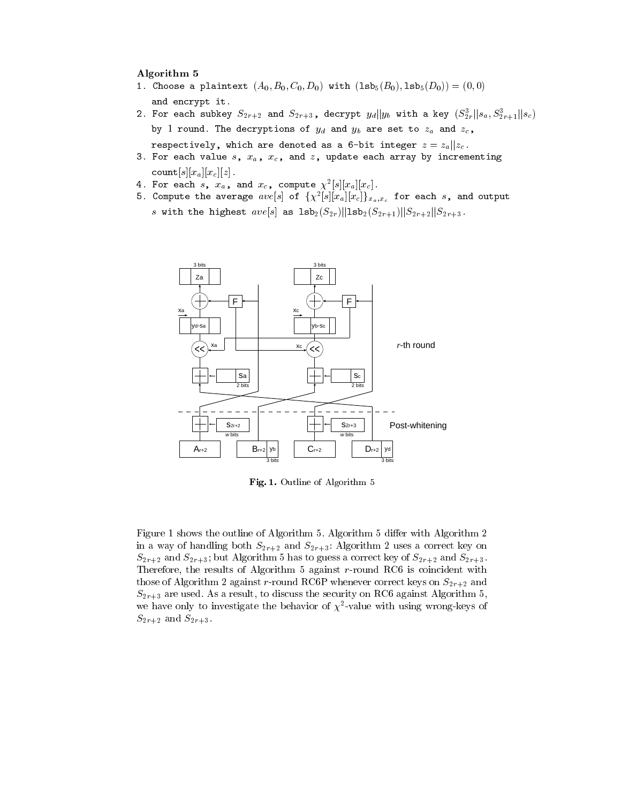### Algorithm 5

- 1. Choose a plaintext  $(A_0, B_0, C_0, D_0)$  with  $({\tt lsb}_5(B_0), {\tt lsb}_5(D_0)) = (0,0)$ and encrypt it.
- 2. For each subkey  $S_{2r+2}$  and  $S_{2r+3}$ , decrypt  $y_d||y_b$  with a key  $(S_{2r}^3||s_a, S_{2r+1}^3||s_c)$ by 1 round. The decryptions of  $y_d$  and  $y_b$  are set to  $z_a$  and  $z_c$ , respectively, which are denoted as a 6-bit integer  $z = z_a || z_c$ .
- 3. For each value  $s$ ,  $x_a$ ,  $x_c$ , and  $z$ , update each array by incrementing  $\texttt{count}[s][x_a][x_c][z].$
- 4. For each s,  $x_a$ , and  $x_c$ , compute  $\chi^2[s][x_a][x_c]$ .
- 5. Compute the average  $ave[s]$  of  $\{\chi^2[s][x_a][x_c]\}_{x_a,x_c}$  for each s, and output s with the highest  $ave[s]$  as  $1sb_2(S_{2r})||1sb_2(S_{2r+1})||S_{2r+2}||S_{2r+3}$ .



Fig. 1. Outline of Algorithm 5

Figure 1 shows the outline of Algorithm 5. Algorithm 5 differ with Algorithm 2 in a way of handling both  $S_{2r+2}$  and  $S_{2r+3}$ : Algorithm 2 uses a correct key on  $S_{2r+2}$  and  $S_{2r+3}$ ; but Algorithm 5 has to guess a correct key of  $S_{2r+2}$  and  $S_{2r+3}$ . Therefore, the results of Algorithm 5 against r-round RC6 is coincident with those of Algorithm 2 against r-round RC6P whenever correct keys on  $S_{2r+2}$  and  $S_{2r+3}$  are used. As a result, to discuss the security on RC6 against Algorithm 5, we have only to investigate the behavior of  $\chi^2$ -value with using wrong-keys of  $S_{2r+2}$  and  $S_{2r+3}$ .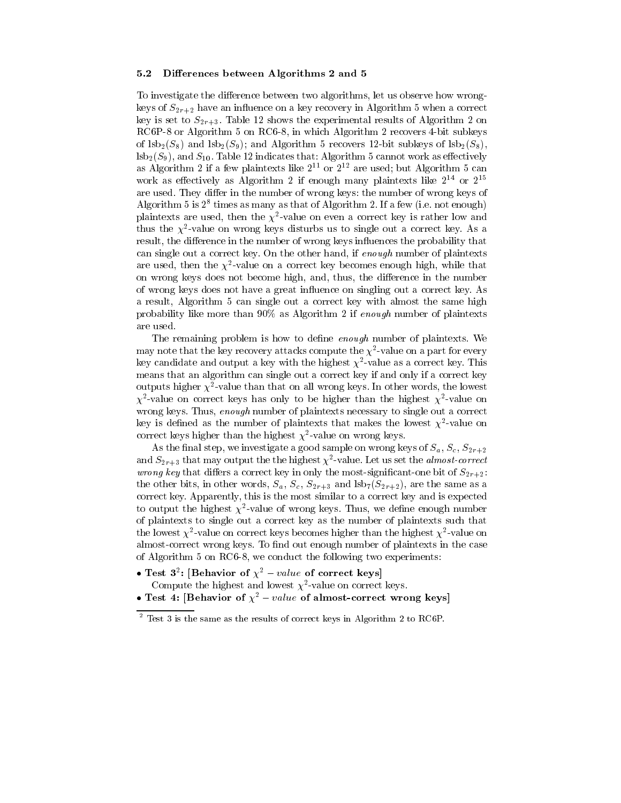#### Differences between Algorithms 2 and 5  $5.2$

To investigate the difference between two algorithms, let us observe how wrongkeys of  $S_{2r+2}$  have an influence on a key recovery in Algorithm 5 when a correct key is set to  $S_{2r+3}$ . Table 12 shows the experimental results of Algorithm 2 on RC6P-8 or Algorithm 5 on RC6-8, in which Algorithm 2 recovers 4-bit subkeys of  $\text{lsb}_2(S_8)$  and  $\text{lsb}_2(S_9)$ ; and Algorithm 5 recovers 12-bit subkeys of  $\text{lsb}_2(S_8)$ ,  $\text{lsb}_2(S_9)$ , and  $S_{10}$ . Table 12 indicates that: Algorithm 5 cannot work as effectively as Algorithm 2 if a few plaintexts like  $2^{11}$  or  $2^{12}$  are used; but Algorithm 5 can work as effectively as Algorithm 2 if enough many plaintexts like  $2^{14}$  or  $2^{15}$ are used. They differ in the number of wrong keys: the number of wrong keys of Algorithm 5 is  $2^8$  times as many as that of Algorithm 2. If a few (i.e. not enough) plaintexts are used, then the  $\chi^2$ -value on even a correct key is rather low and thus the  $\chi^2$ -value on wrong keys disturbs us to single out a correct key. As a result, the difference in the number of wrong keys influences the probability that can single out a correct key. On the other hand, if enough number of plaintexts are used, then the  $\chi^2$ -value on a correct key becomes enough high, while that on wrong keys does not become high, and, thus, the difference in the number of wrong keys does not have a great influence on singling out a correct key. As a result, Algorithm 5 can single out a correct key with almost the same high probability like more than  $90\%$  as Algorithm 2 if enough number of plaintexts are used.

The remaining problem is how to define enough number of plaintexts. We may note that the key recovery attacks compute the  $\chi^2$ -value on a part for every key candidate and output a key with the highest  $\chi^2$ -value as a correct key. This means that an algorithm can single out a correct key if and only if a correct key outputs higher  $\chi^2$ -value than that on all wrong keys. In other words, the lowest  $\chi^2$ -value on correct keys has only to be higher than the highest  $\chi^2$ -value on wrong keys. Thus, enough number of plaintexts necessary to single out a correct key is defined as the number of plaintexts that makes the lowest  $\chi^2$ -value on correct keys higher than the highest  $\chi^2$ -value on wrong keys.

As the final step, we investigate a good sample on wrong keys of  $S_a$ ,  $S_c$ ,  $S_{2r+2}$ and  $S_{2r+3}$  that may output the the highest  $\chi^2$ -value. Let us set the *almost-correct wrong key* that differs a correct key in only the most-significant-one bit of  $S_{2r+2}$ . the other bits, in other words,  $S_a$ ,  $S_c$ ,  $S_{2r+3}$  and  $\text{lsb}_7(S_{2r+2})$ , are the same as a correct key. Apparently, this is the most similar to a correct key and is expected to output the highest  $\chi^2$ -value of wrong keys. Thus, we define enough number of plaintexts to single out a correct key as the number of plaintexts such that the lowest  $\chi^2$ -value on correct keys becomes higher than the highest  $\chi^2$ -value on almost-correct wrong keys. To find out enough number of plaintexts in the case of Algorithm 5 on RC6-8, we conduct the following two experiments:

- Test 3<sup>2</sup>: [Behavior of  $\chi^2$  value of correct keys]
- Compute the highest and lowest  $\chi^2$ -value on correct keys.
- Test 4: [Behavior of  $\chi^2$  value of almost-correct wrong keys]

 $2$  Test 3 is the same as the results of correct keys in Algorithm 2 to RC6P.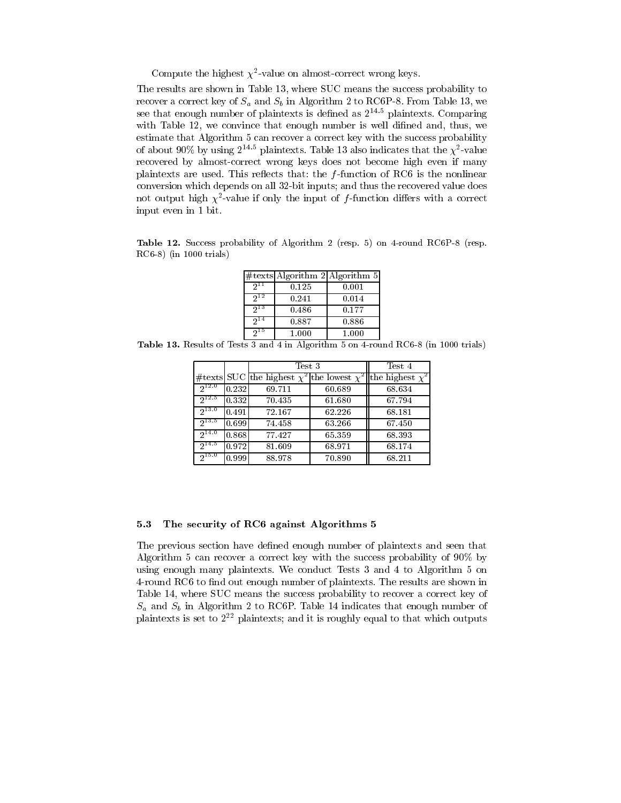Compute the highest  $\chi^2$ -value on almost-correct wrong keys.

The results are shown in Table 13, where SUC means the success probability to recover a correct key of  $S_a$  and  $S_b$  in Algorithm 2 to RC6P-8. From Table 13, we see that enough number of plaintexts is defined as  $2^{14.5}$  plaintexts. Comparing with Table 12, we convince that enough number is well difined and, thus, we estimate that Algorithm 5 can recover a correct key with the success probability of about 90% by using  $2^{14.5}$  plaintexts. Table 13 also indicates that the  $\chi^2$ -value recovered by almost-correct wrong keys does not become high even if many plaintexts are used. This reflects that: the  $f$ -function of RC6 is the nonlinear conversion which depends on all 32-bit inputs; and thus the recovered value does not output high  $\chi^2$ -value if only the input of f-function differs with a correct input even in 1 bit.

Table 12. Success probability of Algorithm 2 (resp. 5) on 4-round RC6P-8 (resp.  $RC6-8$ ) (in 1000 trials)

|          |       | #texts Algorithm 2 Algorithm 5 |
|----------|-------|--------------------------------|
| 911      | 0.125 | 0.001                          |
| $2^{12}$ | 0.241 | 0.014                          |
| $2^{13}$ | 0.486 | 0.177                          |
| 914      | 0.887 | 0.886                          |
| $2^{15}$ | 1.000 | 1.000                          |

Table 13. Results of Tests 3 and 4 in Algorithm 5 on 4-round RC6-8 (in 1000 trials)

|            |       | Test 3                                                                   | Test 4 |        |
|------------|-------|--------------------------------------------------------------------------|--------|--------|
|            |       | #texts SUC the highest $\chi^2$ the lowest $\chi^2$ the highest $\chi^2$ |        |        |
| $2^{12.0}$ | 0.232 | 69.711                                                                   | 60.689 | 68.634 |
| $2^{12.5}$ | 0.332 | 70.435                                                                   | 61.680 | 67.794 |
| $2^{13.0}$ | 0.491 | 72.167                                                                   | 62.226 | 68.181 |
| $2^{13.5}$ | 0.699 | 74.458                                                                   | 63.266 | 67.450 |
| $2^{14.0}$ | 0.868 | 77.427                                                                   | 65.359 | 68.393 |
| $2^{14.5}$ | 0.972 | 81.609                                                                   | 68.971 | 68.174 |
| $2^{15.0}$ | 0.999 | 88.978                                                                   | 70.890 | 68.211 |

### 5.3 The security of RC6 against Algorithms 5

The previous section have defined enough number of plaintexts and seen that Algorithm 5 can recover a correct key with the success probability of 90% by using enough many plaintexts. We conduct Tests 3 and 4 to Algorithm 5 on 4-round RC6 to find out enough number of plaintexts. The results are shown in Table 14, where SUC means the success probability to recover a correct key of  $S_a$  and  $S_b$  in Algorithm 2 to RC6P. Table 14 indicates that enough number of plaintexts is set to  $2^{22}$  plaintexts; and it is roughly equal to that which outputs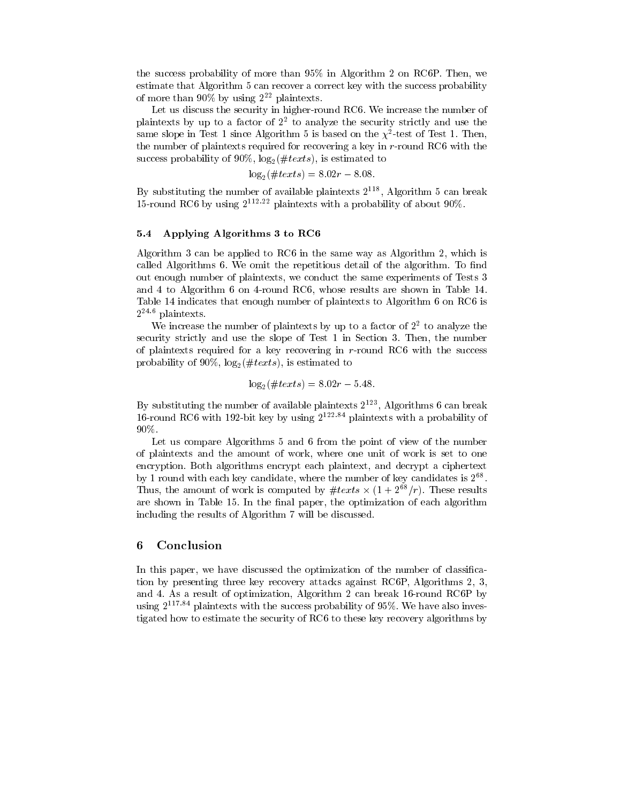the success probability of more than 95% in Algorithm 2 on RC6P. Then, we estimate that Algorithm 5 can recover a correct key with the success probability of more than 90% by using  $2^{22}$  plaintexts.

Let us discuss the security in higher-round RC6. We increase the number of plaintexts by up to a factor of  $2<sup>2</sup>$  to analyze the security strictly and use the same slope in Test 1 since Algorithm 5 is based on the  $\chi^2$ -test of Test 1. Then, the number of plaintexts required for recovering a key in r-round RC6 with the success probability of 90%,  $\log_2(\#text)$ , is estimated to

$$
\log_2(\#text) = 8.02r - 8.08
$$

By substituting the number of available plaintexts  $2^{118}$ , Algorithm 5 can break 15-round RC6 by using  $2^{112.22}$  plaintexts with a probability of about 90%.

### $5.4$ Applying Algorithms 3 to RC6

Algorithm 3 can be applied to RC6 in the same way as Algorithm 2, which is called Algorithms 6. We omit the repetitious detail of the algorithm. To find out enough number of plaintexts, we conduct the same experiments of Tests 3 and 4 to Algorithm 6 on 4-round RC6, whose results are shown in Table 14. Table 14 indicates that enough number of plaintexts to Algorithm 6 on RC6 is  $2^{24.6}$  plaintexts.

We increase the number of plaintexts by up to a factor of  $2<sup>2</sup>$  to analyze the security strictly and use the slope of Test 1 in Section 3. Then, the number of plaintexts required for a key recovering in  $r$ -round RC6 with the success probability of 90%,  $\log_2(\#texts)$ , is estimated to

$$
\log_2(\#text) = 8.02r - 5.48.
$$

By substituting the number of available plaintexts  $2^{123}$ , Algorithms 6 can break 16-round RC6 with 192-bit key by using  $2^{122.84}$  plaintexts with a probability of 90%.

Let us compare Algorithms 5 and 6 from the point of view of the number of plaintexts and the amount of work, where one unit of work is set to one encryption. Both algorithms encrypt each plaintext, and decrypt a ciphertext by 1 round with each key candidate, where the number of key candidates is  $2^{68}$ . Thus, the amount of work is computed by  $\#texts \times (1 + 2^{68}/r)$ . These results are shown in Table 15. In the final paper, the optimization of each algorithm including the results of Algorithm 7 will be discussed.

### 6 Conclusion

In this paper, we have discussed the optimization of the number of classification by presenting three key recovery attacks against RC6P, Algorithms 2, 3, and 4. As a result of optimization, Algorithm 2 can break 16-round RC6P by using  $2^{117.84}$  plaintexts with the success probability of 95%. We have also investigated how to estimate the security of RC6 to these key recovery algorithms by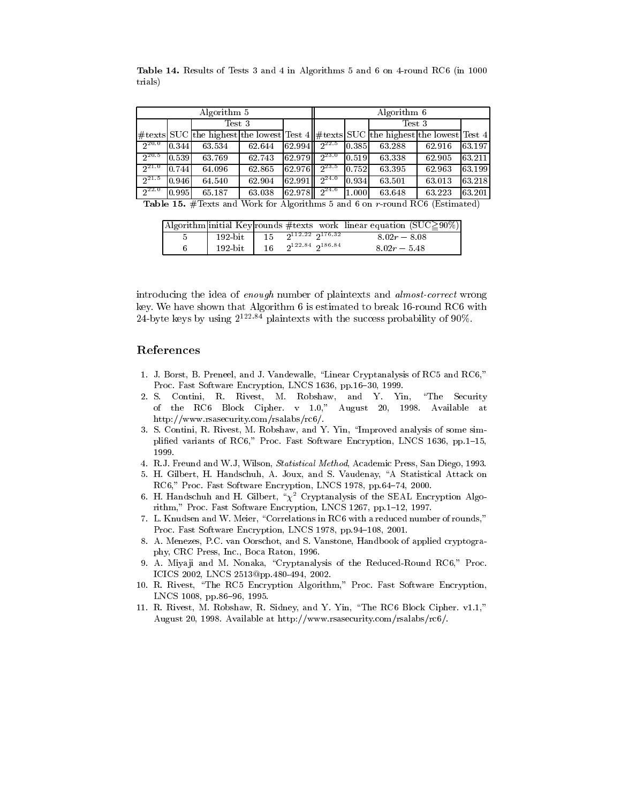|            | Algorithm 5                                                                 |                                                                                           | Algorithm 6 |        |            |        |        |        |        |
|------------|-----------------------------------------------------------------------------|-------------------------------------------------------------------------------------------|-------------|--------|------------|--------|--------|--------|--------|
|            |                                                                             | Test 3                                                                                    |             |        |            | Test 3 |        |        |        |
|            |                                                                             | $\#$ texts SUC the highest the lowest Test 4 $\#$ texts SUC the highest the lowest Test 4 |             |        |            |        |        |        |        |
| $2^{20.0}$ | 0.344                                                                       | 63.534                                                                                    | 62.644      | 62.994 | $2^{22.5}$ | 0.385  | 63.288 | 62.916 | 63.197 |
| $2^{20.5}$ | 0.539                                                                       | 63.769                                                                                    | 62.743      | 62.979 | $2^{23.0}$ | 0.519  | 63.338 | 62.905 | 63.211 |
| $2^{21.0}$ | 0.744                                                                       | 64.096                                                                                    | 62.865      | 62.976 | $2^{23.5}$ | 0.752  | 63.395 | 62.963 | 63.199 |
| $2^{21.5}$ | 0.946                                                                       | 64.540                                                                                    | 62.904      | 62.991 | $2^{24.0}$ | 0.934  | 63.501 | 63.013 | 63.218 |
| $2^{22.0}$ | 0.995                                                                       | 65.187                                                                                    | 63.038      | 62.978 | $2^{24.6}$ | 1.000  | 63.648 | 63.223 | 63.201 |
|            | Table 15. #Texts and Work for Algorithms 5 and 6 on r-round RC6 (Estimated) |                                                                                           |             |        |            |        |        |        |        |

Table 14. Results of Tests 3 and 4 in Algorithms 5 and 6 on 4-round RC6 (in 1000 trials)

|  |                                                  |    |                           |  |                | Algorithm initial Key rounds #texts work linear equation $(SUC \geq 90\%)$ |
|--|--------------------------------------------------|----|---------------------------|--|----------------|----------------------------------------------------------------------------|
|  | $192$ -bit $\sqrt{15}$ $2^{112.22}$ $2^{176.32}$ |    |                           |  | $8.02r - 8.08$ |                                                                            |
|  | 192 bit                                          | 16 | $2^{122.84}$ $2^{186.84}$ |  | $8.02r - 5.48$ |                                                                            |

introducing the idea of enough number of plaintexts and almost-correct wrong key. We have shown that Algorithm 6 is estimated to break 16-round RC6 with 24-byte keys by using  $2^{122.84}$  plaintexts with the success probability of 90%.

### References

- 1. J. Borst, B. Preneel, and J. Vandewalle, "Linear Cryptanalysis of RC5 and RC6," Proc. Fast Software Encryption, LNCS 1636, pp.16-30, 1999.
- 2. S. Contini, R. Rivest, M. Robshaw, and Y. Yin, "The Security" of the RC6 Block Cipher. v 1.0," August 20, 1998. Available at http://www.rsasecurity.com/rsalabs/rc6/.
- 3. S. Contini, R. Rivest, M. Robshaw, and Y. Yin, "Improved analysis of some simplified variants of RC6," Proc. Fast Software Encryption, LNCS 1636, pp.1-15, 1999.
- 4. R.J. Freund and W.J. Wilson, *Statistical Method*, Academic Press, San Diego, 1993.
- 5. H. Gilbert, H. Handschuh, A. Joux, and S. Vaudenay, "A Statistical Attack on RC6," Proc. Fast Software Encryption, LNCS 1978, pp.64-74, 2000.
- 6. H. Handschuh and H. Gilbert,  $\sqrt[n]{x^2}$  Cryptanalysis of the SEAL Encryption Algorithm," Proc. Fast Software Encryption, LNCS 1267, pp.1-12, 1997.
- 7. L. Knudsen and W. Meier, "Correlations in RC6 with a reduced number of rounds," Proc. Fast Software Encryption, LNCS 1978, pp.94-108, 2001.
- 8. A. Menezes, P.C. van Oorschot, and S. Vanstone, Handbook of applied cryptography, CRC Press, Inc., Boca Raton, 1996.
- 9. A. Miyaji and M. Nonaka, "Cryptanalysis of the Reduced-Round RC6," Proc. ICICS 2002, LNCS 2513@pp.480-494, 2002.
- 10. R. Rivest, "The RC5 Encryption Algorithm," Proc. Fast Software Encryption, LNCS 1008, pp.86-96, 1995.
- 11. R. Rivest, M. Robshaw, R. Sidney, and Y. Yin, "The RC6 Block Cipher. v1.1," August 20, 1998. Available at http://www.rsasecurity.com/rsalabs/rc6/.